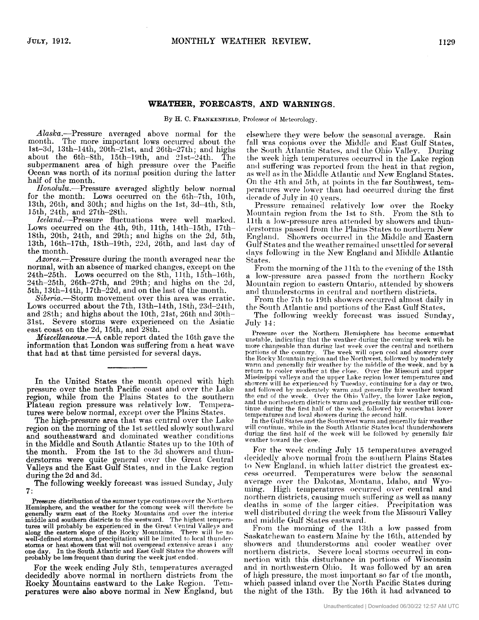#### **WEATHER, FORECASTS, AND WARNINGS.**

By H. C. FRANKENFIELD, Professor of Meteorology.

Alaska.—Pressure averaged above normal for the month. The more important lows occurred about the The more important lows occurred about the 1st-3d, 13th-14th, 20th-21st, and 26th-27th; and highs about the 6th-Sth, 15th-l9th, and 2lst-24th. The subpermanent area of high pressure over the Pacific Ocean was north of its normal position during the latter half of the month.

Honolulu.---Pressure averaged slightly below normal for the month. Lows occurred on the 6th-7th, 10th, 13th, 2Gth, and 30th; **and** highs on the lst, **3cl-4th,** Sth, 15th, 24th, and 27th-28th.

Iceland.--Pressure fluctuations were well marked. Lows occurred on the 4th, 9th, 11th, 14th-15th, 17th-18th, 20th, 24th, and 29th; and highs on the 2d, 5th, the month. 13th, 16th-17th, 18th-19th, 22d, 26th, and last day of

Azores.---Pressure during the month averaged near the normal, with an absence of marked changes, except **on** the 24th-25th. Lows occurred on the 8th, 11th, 15th-16th, 24th-25th, 26th-27th, and 29th; and highs on the 2d, 5th, 13th-l4th, 17th-32c1, **and** on the last of the month.

Siberia.--Storm movement over this area was erratic. Lows occurred about the 7th, 13th-14th, 18th, 23d-24th, and 2Stli; **and** highs about the loth, 31st, 36th **and** 30th-31st. Severe storms were experienced on the Asiatic east coast on the 2d, 15th, and *28th.* 

*Miscellaneous.*—A cable report dated the 16th gave the information that London was suffering from **a** heat wave that had at that time persisted for several days.

In the United States the month opened with high pressure over the north Pacific coast **and** over the Lake region, while from the Plains States to the southern Plateau region pressure was relatively low. Temperatures were below normal, except over the Plains States.

The high-pressure area that *\\-as* central over the **Lake**  region on the morning of the 1st settled slowly southward and southeastward and dominated weather conditions in the Middle and South Atlantic States up to the 10th of the month. From the 1st to the 3d showers and thunderstorms were quite general over the Great Central Valleys and the East Gulf States, and in the **Lake** region during the 2d and 3d.

The following weekly forecast was issued Sunday, **duly 7:** 

**Pressure distribution of the summer type continues over the Northern** Hemisphere, and the weather for the comong week will therefore be<br>generally warm east of the Rocky Mountains and over the interior<br>middle and southern districts to the westward. The highest temperatures will probably be experienced in the Great Central Valleys and along the eastern slope of the Rocky Mountains. There will be no well-defined storms, and precipitation will be limited to local thunderstorms or heat showers that will not overspread extensive areas *i* any one day. In the South Atlantic and East Gulf States the showers will probabTy be less frequent than during the week **just** ended.

For the week ending July 8th, temperatures averaged decidedly above normal in northern districts from the **Rocky** Mountains eastward to the Lake Region. Temperatures were also above normal in New England, but elsewhere they were below the seasonal average. Rain fall was copious over the Middle and East Gulf States, the South Atlantic States, and the Ohio Valley. During the week high temperatures occurred in the Lake region and suffering was reported from the heat in that region, as well as in the Middle Atlantic and New England States. On the 4th and 5th, at points in the far Southwest, temperatures were lower than had occurred during the first decade of July in 40 years.

Pressure remained relatively low over the Rocky Mountain region from the 1st to 8th. From the 8th to 11<sup>th</sup> a low-pressure area attended by showers and thunderstorms passed from the Plains States to northern New England. Showers occurred in the Middle and Eastern Gulf States and the weather remained unsettled for several days following in the New England and Middle Atlantic States.

From the morning of the 11th to the evening of the 18th a low-pressure area passed from the northern Rocky Mountain region to eastern Ontario, attended by showers and thunderstorms in central and northern districts.<br>From the 7th to 19th showers occurred almost daily in

the South Atlantic and portions of the East Gulf States.

The following weekly forecast was issued Sunday, July I4 :

Pressure over the Northern Hemisphere has become somewhat unstable, indicating that the weather during the coming week will be more changeable than during last week over the central and northern portions of the country. The week will open cool and showery over the Rocky Mountain region and the Northwest, followed by moderately warm and generally fair weather by the middle of the week, and by a return to cooler weather at the close. Over the Missouri and upper the upper Lake region lower temperatures and need by Tuesday, continuing for a day or two. and followed by moderately warm and generally fair weather toward<br>the end of the week. Over the Ohio Valley, the lower Lake region,<br>and the northeastern districts warm and generally fair weather will con-<br>tinue during the temperatures and local showers during the second half.

In the Gulf States and tlie Southwest **warm** and qenerally fair weather will continue, while in the South Atlantic States local thundershowers during the first half of the week will be followed by generally fair weather toward the close.

For the week ending July 15 temperatures averaged decidedly above normal from the southern Plains States to New England, in which latter district the greatest excess occurred. Temperatures were below the seasonal average over the Dakotas, Montana, Idaho, and Wyoming. High temperatures **occurred** over central and northern districts, causing much suffering as well as many deaths in some of the larger cities. Precipitation was well dist ribut **et1 (111** ring t lie **week from** the Missouri Valley and middle Gulf States eastward.

From the morning of the 13th a low passed from Saskatchewan to eastern Maine by the 16th, attended by showers and thunderstorms and cooler weather over northern districts. Severe local storms occurred in connection with this disturbance in portions of Wisconsin **and** in northwestern Oliin. It was followed by **an** area of high pressure, the most iiiiportant so **far of** the month, which passed inland over the North Pacific States during the night of the 13th. By the 16th it had advanced to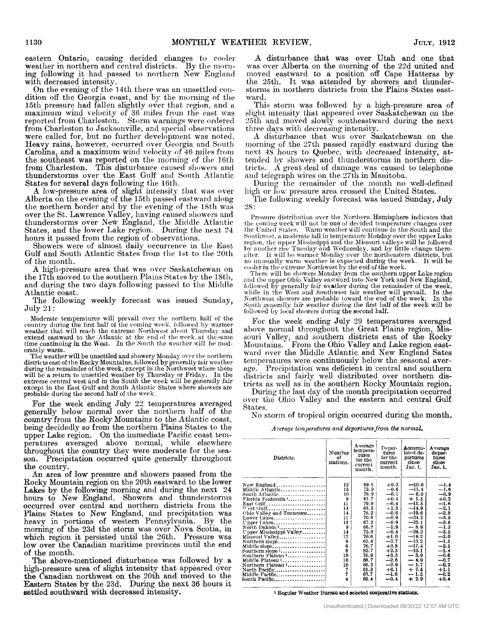eastern Ontario, causing decided clianges to **coolei**  weather in northern and central districts. ing following it had passed to northern New England with decreased intensity.

On the evening of the 14th there was an unsettled condition off the Georgia coast, and by the **nioriiing** of the 15th pressure had fallen slightly over that region, and a maximum wind velocity of 36 miles from the east was reported from Charleston. Storm warnings were ordered from Charleston to Jacksonville, and special observations were called for, but no further development was noted. Carolina, and a maximum wind velocity of 46 miles from the southeast was reported on the morning of the 16th from Charleston. This disturbance caused showers and thunderstorms over the East Gulf and South Atlantic States for several days following the 16th. Heavy rains, however, occurred over Georgia and South

**9** low-pressure area of slight intensity tlint *\\-tis* mer Alberta on the evening of the 15th passed eastward along the northern border and by the evening of the 18th was over the St. Lawrence Valley, having caused showers and thunderstorms over New England, the Middle Atlantic States, and the lower Lake region. During the next 24 hours it passed from the region of observations.

Showers were of almost daily occurrence in the East Gulf and South Atlantic States from the 1st to the 20th of the month.

**A** high-pressure area that was over Saskatchewan on the 17th moved to the southern Plains States by the 18th, and during the two days following passed to the Middle Atlantic coast.

The following weekly forecast was issued Sunday, July 21 :

Moderate temperatures will prevail over the northern half of the country during the first half of the coming week, followed by warmer weather that will reach the extreme Northwest about Thursday and extend eastward to the Atlantic at the end of the week, at the same time continuing in the West. In the South the weather will be moderately warm.

The weather will be unsettled and showery Monday over the northern districts east of the Rocky Mountains, followed by generally fair weather<br>during the remainder of the week, except in the Northwest where there<br>will be a return to unsettled weather by Thursday or Friday. In the<br>extreme ce

For the week ending July 22 temperatures averaged country **froin** the Rocky Mountains to the Atlantic coast, being decidedly so from the northern Plains States to the upper Lake region. On the immediate Pacific coast temperatures averaged above normal, while elsewhere throughout the country they were moderate for the season. Precipitation occurred quite generally throughout the country. generally below normal over the northern half of the

**An** area of **low** pressure and showers passed from the Rocky Mountain region on the 20th eastward to the lower Lakes by the following morning and during the next 24 hours to New England. Showers and thunderstorms occurred over central and northern districts from the Plains States to New England, **and** precipitation was heavy in portions of western Pennsylvania. By the morning of the 23d the storm was over Nova Scotia, in which region it persisted until the 26th. Pressure was low over the Canadian maritime provinces until the end **of** the month.

The above-mentioned disturbance **was** followed by a high-pressure area of slight intensity that appeared over the Canadian northwest on the 20th and moved to the Eastern States by the 23d. During the nest 36 hours it settled southward with decreased intensity.

**A** disturbance that was over Utah and one that was over Alberta on the morning of the 22d united and moved eastward to a position ofl' Cape Hatteras by the 25th. It was attended by showers and thunderstorms in northern districts from the Plains States eastward.

This storm was followed by a high-pressure area of slight intensity that appeared over Saskatchewan on the three days with decreasing intensity.<br>A disturbance that was over Saskatchewan on the 25th and moved slowly southeastward during the next

morning of the 27th passed rapidly eastward during the next  $48$  hours to Quebec, with decreased intensity, attended by showers and thunderstorms in northern districts. A great deal of damage was caused to telephone and telegraph wires on the 27th in Manitoba.

During the remainder of the month no well-defined high or low pressure area crossed the United States.

The following weelily forecast was issued Sunday, July 2s :

Pressure distribution over the Northern Hemisphere indicates that<br>the coming week will not be one of decided temperature changes over the United States. Warm weather will continue in the South and the Southwest, a moderate fall in temperature Monday over the upper Lake Southwest, a moderate fall in temperature Monday over the upper Lake region, the upper Mississippi and the Missouri valleys will be followed<br>by another rise Tuesday and Wednesday, and by little change there-<br>after. It will be warmer Monday over the northeastern districts, but<br>no unusually w

followed  $\hat{b}\hat{y}$  generally fair weather during the remainder of the week, while in the West and Southwest fair weather will prevail. In the Northwest showers are probable toward the end of the week. In the South gener

For the week ending July 29 temperatures averaged above normal throughout the Great Plains region, Missouri Valley, and southern districts Mountains. From the Ohio Valley and Lake region eastward over the Middle Atlantic and New England Sates temperatures were continuously below the seasonal aver*age.* Precipitation was deficient in central **and** southern districts and fairly well distributed over northern districts as well as in the southern Rocky Mountain region.

During the last **day** of the month precipitation occurred over the Ohio Valley and the eastern and central Gulf States.

No storm of tropical origin occurred during the month,

*Average temperatures and departures from the normal.* 

| Districts.                                                                                                                                                                                                                                                                                                                                                                                                                                                          | Number<br>оf<br>stations.                                                                                          | Average<br>tempera-<br>tures<br>for the<br>current<br>month.                                                                                                          | Depar-<br>tures<br>for the<br>current<br>month.                                                                                                                                                                | Accumu-<br>lated de-<br>partures<br>since<br>Jan. 1.                                                                                                                                                                        | Average<br>depar-<br>tures<br>since<br>Jan. 1.                                                                                                                                                                 |
|---------------------------------------------------------------------------------------------------------------------------------------------------------------------------------------------------------------------------------------------------------------------------------------------------------------------------------------------------------------------------------------------------------------------------------------------------------------------|--------------------------------------------------------------------------------------------------------------------|-----------------------------------------------------------------------------------------------------------------------------------------------------------------------|----------------------------------------------------------------------------------------------------------------------------------------------------------------------------------------------------------------|-----------------------------------------------------------------------------------------------------------------------------------------------------------------------------------------------------------------------------|----------------------------------------------------------------------------------------------------------------------------------------------------------------------------------------------------------------|
| New England<br>Middle Atlantic<br>Florida Peninsula '<br>East Gulf<br>$West Gull, \ldots, \ldots, \ldots, \ldots, \ldots,$<br>Ohio Valley and Tennessee<br>Lower Lakes<br>Upper Lakes<br>North Dakota 1<br>Upper Mississippi Valley<br>Missouri Valley<br>Northern slope<br>Middle slope<br>Southern slope $1, \ldots, \ldots, \ldots, \ldots$<br>Southern Plateau 1<br>Middle Plateau 1<br>Northern Plateau 1<br>North Pacific<br>Middle Pacific <br>South Pacific | 12<br>15<br>10<br>9<br>11<br>14<br>14<br>11<br>13<br>9<br>14<br>12<br>9<br>6<br>8<br>10<br>10<br>10<br>7<br>7<br>4 | 69.1<br>73.9<br>78.9<br>81.7<br>79.9<br>83.3<br>76.2<br>70. S<br>67.2<br>66.2<br>75.0<br>76.6<br>65.4<br>76.7<br>82.7<br>76.9<br>68.7<br>66.2<br>61.3<br>63.7<br>69.4 | $+0.3$<br>$-0.6$<br>$-0.1$<br>$+0.4$<br>$-0.4$<br>$+1.3$<br>$-0.6$<br>$-0.9$<br>$-0.9$<br>$-1.9$<br>$-0.4$<br>$+1.0$<br>$-2.7$<br>$+0.8$<br>$+2.3$<br>$+3.3$<br>$-2.6$<br>$-2.9$<br>$+0.1$<br>$-1.8$<br>$-0.4$ | $-10.0$<br>$-11.4$<br>$-6.01$<br>$+1.5$<br>$-11.5$<br>$-14.9$<br>$-19.6$<br>$-24.2$<br>$-25.1$<br>$-8.9$<br>$-24.3$<br>$-14.2$<br>$-10.2$<br>$-17.4$<br>$-10.1$<br>$-3.9$<br>$-4.9$<br>$-1.7$<br>$+7.5$<br>$-1.5$<br>$+2.9$ | $-1.4$<br>$-1.6$<br>$-0.9$<br>$+0.2$<br>$-1.6$<br>$-2.1$<br>$-2.8$<br>$-3.5$<br>$-3.6$<br>$-1.3$<br>$-3.5$<br>$-2.0$<br>$-1.5$<br>$-2.5$<br>$-1.4$<br>$-0.6$<br>$-0.7$<br>$-0.2$<br>$+1.1$<br>$-0.2$<br>$+0.4$ |

**<sup>1</sup>Regular Weather Bureau and selected wopmtlve stations.**